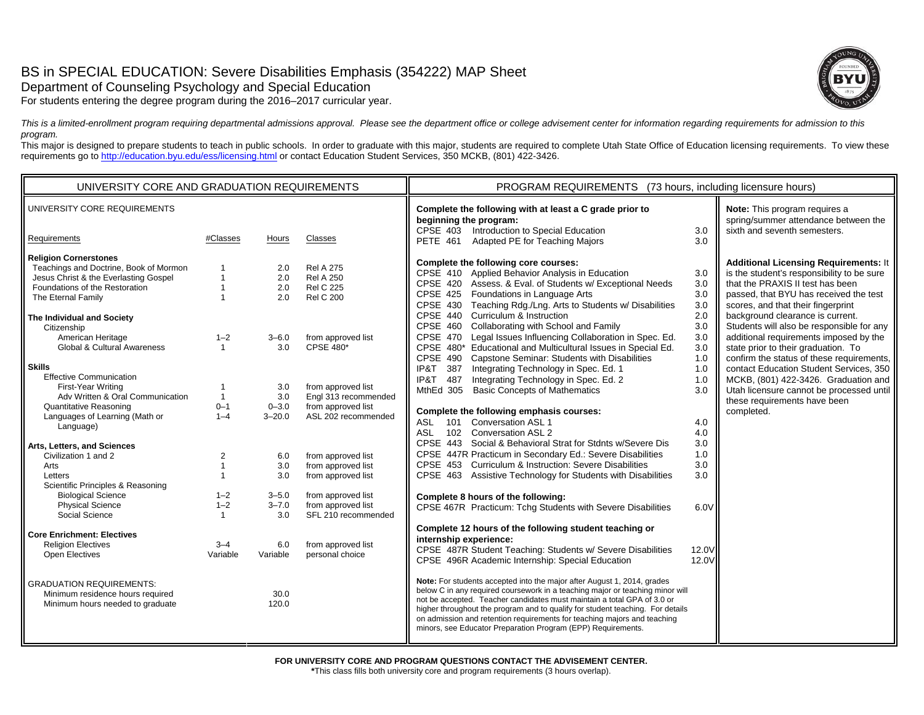# BS in SPECIAL EDUCATION: Severe Disabilities Emphasis (354222) MAP Sheet

Department of Counseling Psychology and Special Education

For students entering the degree program during the 2016–2017 curricular year.



*This is a limited-enrollment program requiring departmental admissions approval. Please see the department office or college advisement center for information regarding requirements for admission to this program.*

This major is designed to prepare students to teach in public schools. In order to graduate with this major, students are required to complete Utah State Office of Education licensing requirements. To view these requirements go to http://education.byu.edu/ess/licensing.html or contact Education Student Services, 350 MCKB, (801) 422-3426.

| UNIVERSITY CORE AND GRADUATION REQUIREMENTS                                                                                                                                                                                                                                                                                                                                                                                                                                                                                                                                                                                                                                                                                                                                                                                                                          |                                                                                                                                              |                                                                                                                                                                                 | PROGRAM REQUIREMENTS (73 hours, including licensure hours)                                                                                                                                                                                                                                                                                                                                      |                                                                                                                                                                                                                                                                                                                                                                                                                                                                                                                                                                                                                                                                                                                                                                                                                                                                                                                                                                                                                                                                                                                                                                                                                                                                                                                                                                                                                                                                                                                                                                                                                                                                                                                                                                                                                                                                                                   |                                                                                                                                                      |                                                                                                                                                                                                                                                                                                                                                                                                                                                                                                                                                                                                            |
|----------------------------------------------------------------------------------------------------------------------------------------------------------------------------------------------------------------------------------------------------------------------------------------------------------------------------------------------------------------------------------------------------------------------------------------------------------------------------------------------------------------------------------------------------------------------------------------------------------------------------------------------------------------------------------------------------------------------------------------------------------------------------------------------------------------------------------------------------------------------|----------------------------------------------------------------------------------------------------------------------------------------------|---------------------------------------------------------------------------------------------------------------------------------------------------------------------------------|-------------------------------------------------------------------------------------------------------------------------------------------------------------------------------------------------------------------------------------------------------------------------------------------------------------------------------------------------------------------------------------------------|---------------------------------------------------------------------------------------------------------------------------------------------------------------------------------------------------------------------------------------------------------------------------------------------------------------------------------------------------------------------------------------------------------------------------------------------------------------------------------------------------------------------------------------------------------------------------------------------------------------------------------------------------------------------------------------------------------------------------------------------------------------------------------------------------------------------------------------------------------------------------------------------------------------------------------------------------------------------------------------------------------------------------------------------------------------------------------------------------------------------------------------------------------------------------------------------------------------------------------------------------------------------------------------------------------------------------------------------------------------------------------------------------------------------------------------------------------------------------------------------------------------------------------------------------------------------------------------------------------------------------------------------------------------------------------------------------------------------------------------------------------------------------------------------------------------------------------------------------------------------------------------------------|------------------------------------------------------------------------------------------------------------------------------------------------------|------------------------------------------------------------------------------------------------------------------------------------------------------------------------------------------------------------------------------------------------------------------------------------------------------------------------------------------------------------------------------------------------------------------------------------------------------------------------------------------------------------------------------------------------------------------------------------------------------------|
| UNIVERSITY CORE REQUIREMENTS                                                                                                                                                                                                                                                                                                                                                                                                                                                                                                                                                                                                                                                                                                                                                                                                                                         |                                                                                                                                              |                                                                                                                                                                                 |                                                                                                                                                                                                                                                                                                                                                                                                 | Complete the following with at least a C grade prior to<br>beginning the program:<br>CPSE 403 Introduction to Special Education                                                                                                                                                                                                                                                                                                                                                                                                                                                                                                                                                                                                                                                                                                                                                                                                                                                                                                                                                                                                                                                                                                                                                                                                                                                                                                                                                                                                                                                                                                                                                                                                                                                                                                                                                                   | 3.0                                                                                                                                                  | Note: This program requires a<br>spring/summer attendance between the<br>sixth and seventh semesters.                                                                                                                                                                                                                                                                                                                                                                                                                                                                                                      |
| Requirements                                                                                                                                                                                                                                                                                                                                                                                                                                                                                                                                                                                                                                                                                                                                                                                                                                                         | #Classes                                                                                                                                     | Hours                                                                                                                                                                           | Classes                                                                                                                                                                                                                                                                                                                                                                                         | Adapted PE for Teaching Majors<br><b>PETE 461</b>                                                                                                                                                                                                                                                                                                                                                                                                                                                                                                                                                                                                                                                                                                                                                                                                                                                                                                                                                                                                                                                                                                                                                                                                                                                                                                                                                                                                                                                                                                                                                                                                                                                                                                                                                                                                                                                 | 3.0                                                                                                                                                  |                                                                                                                                                                                                                                                                                                                                                                                                                                                                                                                                                                                                            |
| <b>Religion Cornerstones</b><br>Teachings and Doctrine, Book of Mormon<br>Jesus Christ & the Everlasting Gospel<br>Foundations of the Restoration<br>The Eternal Family<br>The Individual and Society<br>Citizenship<br>American Heritage<br>Global & Cultural Awareness<br><b>Skills</b><br><b>Effective Communication</b><br>First-Year Writing<br>Adv Written & Oral Communication<br><b>Quantitative Reasoning</b><br>Languages of Learning (Math or<br>Language)<br>Arts, Letters, and Sciences<br>Civilization 1 and 2<br>Arts<br>Letters<br>Scientific Principles & Reasoning<br><b>Biological Science</b><br><b>Physical Science</b><br>Social Science<br><b>Core Enrichment: Electives</b><br><b>Religion Electives</b><br><b>Open Electives</b><br><b>GRADUATION REQUIREMENTS:</b><br>Minimum residence hours required<br>Minimum hours needed to graduate | $1 - 2$<br>$\mathbf{1}$<br>$\mathbf{1}$<br>$0 - 1$<br>$1 - 4$<br>$\overline{2}$<br>$1 - 2$<br>$1 - 2$<br>$\mathbf{1}$<br>$3 - 4$<br>Variable | 2.0<br>2.0<br>2.0<br>2.0<br>$3 - 6.0$<br>3.0<br>3.0<br>3.0<br>$0 - 3.0$<br>$3 - 20.0$<br>6.0<br>3.0<br>3.0<br>$3 - 5.0$<br>$3 - 7.0$<br>3.0<br>6.0<br>Variable<br>30.0<br>120.0 | <b>Rel A 275</b><br><b>Rel A 250</b><br><b>Rel C 225</b><br><b>Rel C 200</b><br>from approved list<br><b>CPSE 480*</b><br>from approved list<br>Engl 313 recommended<br>from approved list<br>ASL 202 recommended<br>from approved list<br>from approved list<br>from approved list<br>from approved list<br>from approved list<br>SFL 210 recommended<br>from approved list<br>personal choice | Complete the following core courses:<br>CPSE 410 Applied Behavior Analysis in Education<br>CPSE 420 Assess. & Eval. of Students w/ Exceptional Needs<br>CPSE 425 Foundations in Language Arts<br>Teaching Rdg./Lng. Arts to Students w/ Disabilities<br><b>CPSE 430</b><br>CPSE 440 Curriculum & Instruction<br>Collaborating with School and Family<br>CPSE 460<br>CPSE 470 Legal Issues Influencing Collaboration in Spec. Ed.<br>CPSE 480* Educational and Multicultural Issues in Special Ed.<br>Capstone Seminar: Students with Disabilities<br>CPSE 490<br>IP&T<br>387<br>Integrating Technology in Spec. Ed. 1<br>Integrating Technology in Spec. Ed. 2<br>IP&T<br>487<br><b>Basic Concepts of Mathematics</b><br>MthEd 305<br>Complete the following emphasis courses:<br>101<br><b>Conversation ASL 1</b><br>ASL<br>102 Conversation ASL 2<br>ASL.<br>CPSE 443 Social & Behavioral Strat for Stdnts w/Severe Dis<br>CPSE 447R Practicum in Secondary Ed.: Severe Disabilities<br>CPSE 453 Curriculum & Instruction: Severe Disabilities<br>CPSE 463 Assistive Technology for Students with Disabilities<br>Complete 8 hours of the following:<br>CPSE 467R Practicum: Tchq Students with Severe Disabilities<br>Complete 12 hours of the following student teaching or<br>internship experience:<br>CPSE 487R Student Teaching: Students w/ Severe Disabilities<br>CPSE 496R Academic Internship: Special Education<br>Note: For students accepted into the major after August 1, 2014, grades<br>below C in any required coursework in a teaching major or teaching minor will<br>not be accepted. Teacher candidates must maintain a total GPA of 3.0 or<br>higher throughout the program and to qualify for student teaching. For details<br>on admission and retention requirements for teaching majors and teaching<br>minors, see Educator Preparation Program (EPP) Requirements. | 3.0<br>3.0<br>3.0<br>3.0<br>2.0<br>3.0<br>3.0<br>3.0<br>1.0<br>1.0<br>1.0<br>3.0<br>4.0<br>4.0<br>3.0<br>1.0<br>3.0<br>3.0<br>6.0V<br>12.0V<br>12.0V | <b>Additional Licensing Requirements: It</b><br>is the student's responsibility to be sure<br>that the PRAXIS II test has been<br>passed, that BYU has received the test<br>scores, and that their fingerprint<br>background clearance is current.<br>Students will also be responsible for any<br>additional requirements imposed by the<br>state prior to their graduation. To<br>confirm the status of these requirements,<br>contact Education Student Services, 350<br>MCKB, (801) 422-3426. Graduation and<br>Utah licensure cannot be processed until<br>these requirements have been<br>completed. |

**\***This class fills both university core and program requirements (3 hours overlap).